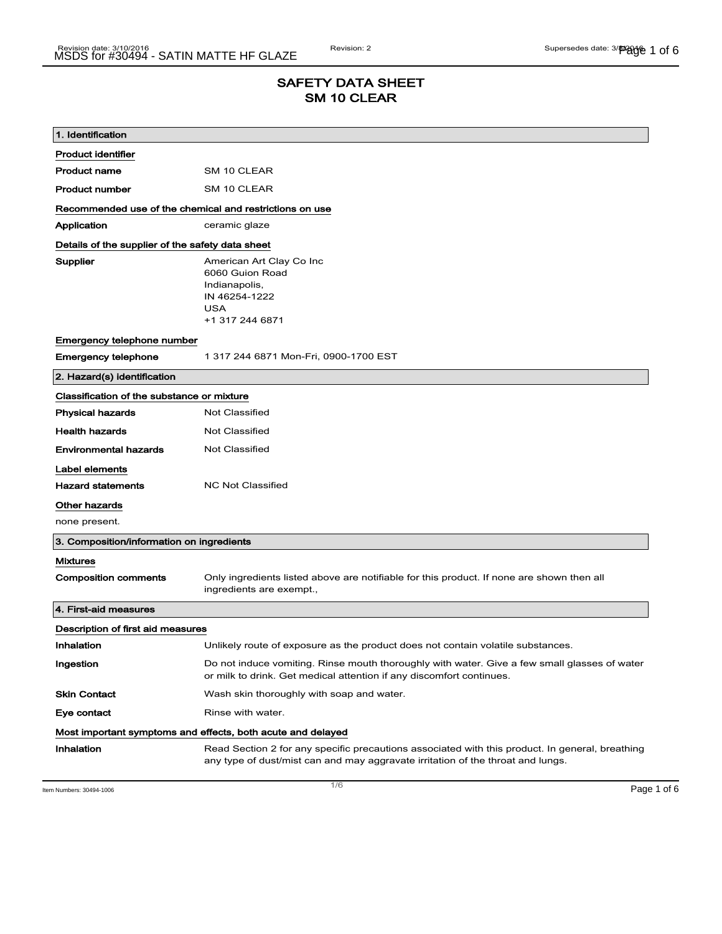# SAFETY DATA SHEET SM 10 CLEAR

| 1. Identification                                           |                                                                                                                                                                                    |  |
|-------------------------------------------------------------|------------------------------------------------------------------------------------------------------------------------------------------------------------------------------------|--|
| <b>Product identifier</b>                                   |                                                                                                                                                                                    |  |
| <b>Product name</b>                                         | SM 10 CLEAR                                                                                                                                                                        |  |
| <b>Product number</b>                                       | SM 10 CLEAR                                                                                                                                                                        |  |
| Recommended use of the chemical and restrictions on use     |                                                                                                                                                                                    |  |
| Application                                                 | ceramic glaze                                                                                                                                                                      |  |
| Details of the supplier of the safety data sheet            |                                                                                                                                                                                    |  |
| Supplier                                                    | American Art Clay Co Inc<br>6060 Guion Road<br>Indianapolis,<br>IN 46254-1222<br><b>USA</b><br>+1 317 244 6871                                                                     |  |
| Emergency telephone number                                  |                                                                                                                                                                                    |  |
| <b>Emergency telephone</b>                                  | 1 317 244 6871 Mon-Fri, 0900-1700 EST                                                                                                                                              |  |
| 2. Hazard(s) identification                                 |                                                                                                                                                                                    |  |
| Classification of the substance or mixture                  |                                                                                                                                                                                    |  |
| <b>Physical hazards</b>                                     | <b>Not Classified</b>                                                                                                                                                              |  |
| <b>Health hazards</b>                                       | Not Classified                                                                                                                                                                     |  |
| <b>Environmental hazards</b>                                | Not Classified                                                                                                                                                                     |  |
| Label elements                                              |                                                                                                                                                                                    |  |
| <b>Hazard statements</b>                                    | <b>NC Not Classified</b>                                                                                                                                                           |  |
| Other hazards                                               |                                                                                                                                                                                    |  |
| none present.                                               |                                                                                                                                                                                    |  |
| 3. Composition/information on ingredients                   |                                                                                                                                                                                    |  |
| <b>Mixtures</b>                                             |                                                                                                                                                                                    |  |
| <b>Composition comments</b>                                 | Only ingredients listed above are notifiable for this product. If none are shown then all<br>ingredients are exempt.,                                                              |  |
| 4. First-aid measures                                       |                                                                                                                                                                                    |  |
| Description of first aid measures                           |                                                                                                                                                                                    |  |
| Inhalation                                                  | Unlikely route of exposure as the product does not contain volatile substances.                                                                                                    |  |
| Ingestion                                                   | Do not induce vomiting. Rinse mouth thoroughly with water. Give a few small glasses of water<br>or milk to drink. Get medical attention if any discomfort continues.               |  |
| <b>Skin Contact</b>                                         | Wash skin thoroughly with soap and water.                                                                                                                                          |  |
| Eye contact                                                 | Rinse with water.                                                                                                                                                                  |  |
| Most important symptoms and effects, both acute and delayed |                                                                                                                                                                                    |  |
| Inhalation                                                  | Read Section 2 for any specific precautions associated with this product. In general, breathing<br>any type of dust/mist can and may aggravate irritation of the throat and lungs. |  |

Item Numbers: 30494-1006 **Page 1 of 6**  $\overline{1/6}$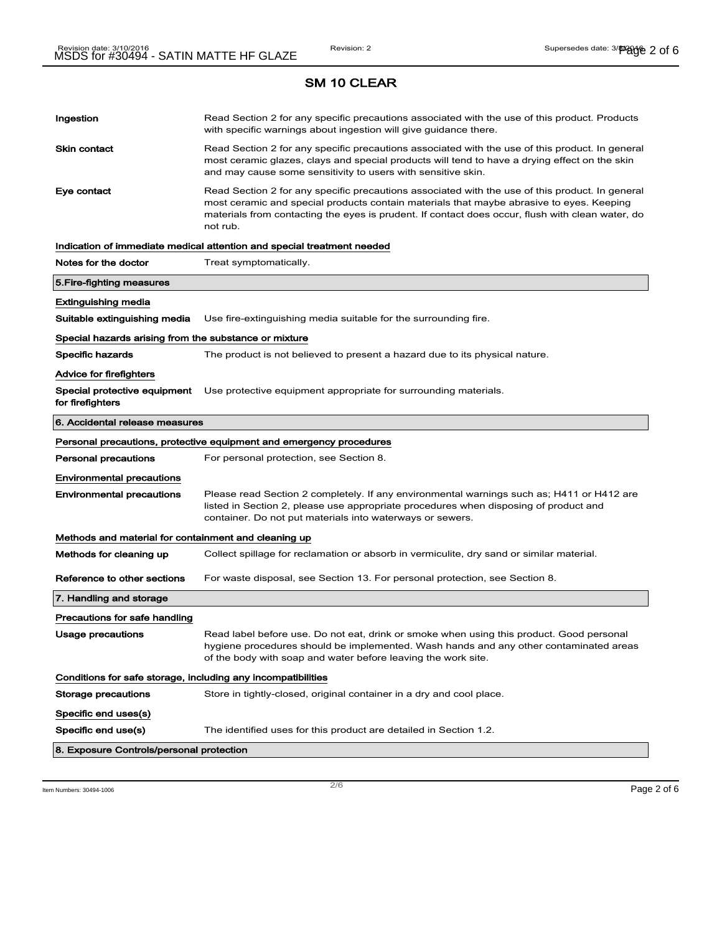| SM 10 CLEAR                                                  |                                                                                                                                                                                                                                                                                                             |  |
|--------------------------------------------------------------|-------------------------------------------------------------------------------------------------------------------------------------------------------------------------------------------------------------------------------------------------------------------------------------------------------------|--|
| Ingestion                                                    | Read Section 2 for any specific precautions associated with the use of this product. Products<br>with specific warnings about ingestion will give guidance there.                                                                                                                                           |  |
| <b>Skin contact</b>                                          | Read Section 2 for any specific precautions associated with the use of this product. In general<br>most ceramic glazes, clays and special products will tend to have a drying effect on the skin<br>and may cause some sensitivity to users with sensitive skin.                                            |  |
| Eye contact                                                  | Read Section 2 for any specific precautions associated with the use of this product. In general<br>most ceramic and special products contain materials that maybe abrasive to eyes. Keeping<br>materials from contacting the eyes is prudent. If contact does occur, flush with clean water, do<br>not rub. |  |
|                                                              | Indication of immediate medical attention and special treatment needed                                                                                                                                                                                                                                      |  |
| Notes for the doctor                                         | Treat symptomatically.                                                                                                                                                                                                                                                                                      |  |
| 5. Fire-fighting measures                                    |                                                                                                                                                                                                                                                                                                             |  |
| Extinguishing media                                          |                                                                                                                                                                                                                                                                                                             |  |
| Suitable extinguishing media                                 | Use fire-extinguishing media suitable for the surrounding fire.                                                                                                                                                                                                                                             |  |
| Special hazards arising from the substance or mixture        |                                                                                                                                                                                                                                                                                                             |  |
| <b>Specific hazards</b>                                      | The product is not believed to present a hazard due to its physical nature.                                                                                                                                                                                                                                 |  |
| <b>Advice for firefighters</b>                               |                                                                                                                                                                                                                                                                                                             |  |
| Special protective equipment<br>for firefighters             | Use protective equipment appropriate for surrounding materials.                                                                                                                                                                                                                                             |  |
| 6. Accidental release measures                               |                                                                                                                                                                                                                                                                                                             |  |
|                                                              | Personal precautions, protective equipment and emergency procedures                                                                                                                                                                                                                                         |  |
| <b>Personal precautions</b>                                  | For personal protection, see Section 8.                                                                                                                                                                                                                                                                     |  |
| <b>Environmental precautions</b>                             |                                                                                                                                                                                                                                                                                                             |  |
| <b>Environmental precautions</b>                             | Please read Section 2 completely. If any environmental warnings such as; H411 or H412 are<br>listed in Section 2, please use appropriate procedures when disposing of product and<br>container. Do not put materials into waterways or sewers.                                                              |  |
| Methods and material for containment and cleaning up         |                                                                                                                                                                                                                                                                                                             |  |
| Methods for cleaning up                                      | Collect spillage for reclamation or absorb in vermiculite, dry sand or similar material.                                                                                                                                                                                                                    |  |
| Reference to other sections                                  | For waste disposal, see Section 13. For personal protection, see Section 8.                                                                                                                                                                                                                                 |  |
| 7. Handling and storage                                      |                                                                                                                                                                                                                                                                                                             |  |
| Precautions for safe handling                                |                                                                                                                                                                                                                                                                                                             |  |
| Usage precautions                                            | Read label before use. Do not eat, drink or smoke when using this product. Good personal<br>hygiene procedures should be implemented. Wash hands and any other contaminated areas<br>of the body with soap and water before leaving the work site.                                                          |  |
| Conditions for safe storage, including any incompatibilities |                                                                                                                                                                                                                                                                                                             |  |
| <b>Storage precautions</b>                                   | Store in tightly-closed, original container in a dry and cool place.                                                                                                                                                                                                                                        |  |
| Specific end uses(s)                                         |                                                                                                                                                                                                                                                                                                             |  |
| Specific end use(s)                                          | The identified uses for this product are detailed in Section 1.2.                                                                                                                                                                                                                                           |  |
| 8. Exposure Controls/personal protection                     |                                                                                                                                                                                                                                                                                                             |  |

Item Numbers: 30494-1006  $\blacksquare$   $\blacksquare$   $\blacksquare$   $\blacksquare$   $\blacksquare$   $\blacksquare$   $\blacksquare$   $\blacksquare$   $\blacksquare$   $\blacksquare$   $\blacksquare$   $\blacksquare$   $\blacksquare$   $\blacksquare$   $\blacksquare$   $\blacksquare$   $\blacksquare$   $\blacksquare$   $\blacksquare$   $\blacksquare$   $\blacksquare$   $\blacksquare$   $\blacksquare$   $\blacksquare$   $\blacksquare$   $\blacksquare$   $\blacksquare$   $\blacksquare$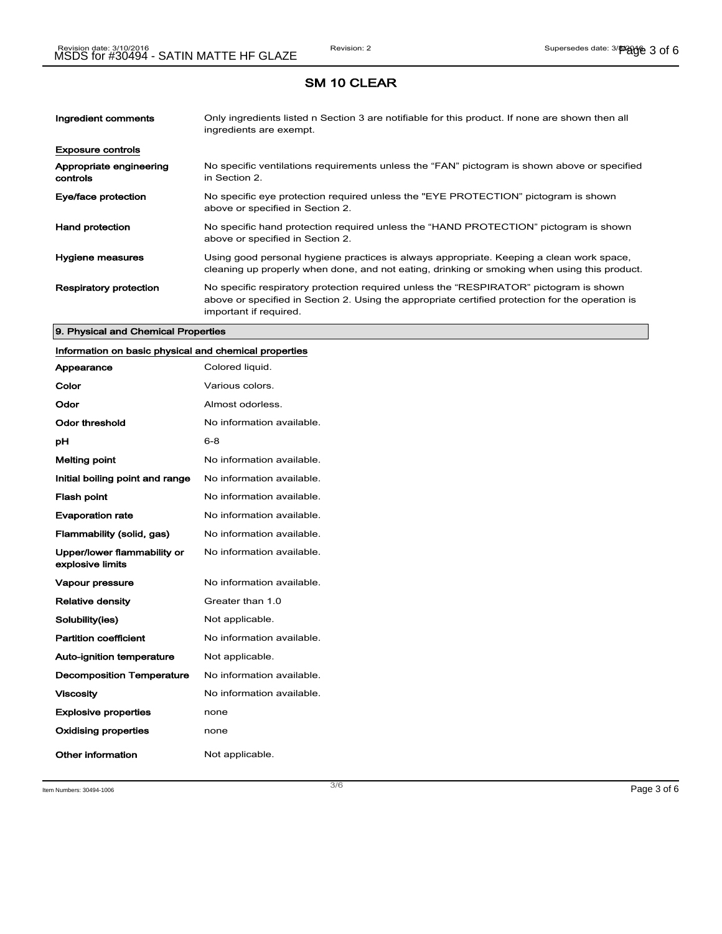| Ingredient comments                 | Only ingredients listed n Section 3 are notifiable for this product. If none are shown then all<br>ingredients are exempt.                                                                                           |
|-------------------------------------|----------------------------------------------------------------------------------------------------------------------------------------------------------------------------------------------------------------------|
| <b>Exposure controls</b>            |                                                                                                                                                                                                                      |
| Appropriate engineering<br>controls | No specific ventilations requirements unless the "FAN" pictogram is shown above or specified<br>in Section 2.                                                                                                        |
| Eye/face protection                 | No specific eye protection required unless the "EYE PROTECTION" pictogram is shown<br>above or specified in Section 2.                                                                                               |
| <b>Hand protection</b>              | No specific hand protection required unless the "HAND PROTECTION" pictogram is shown<br>above or specified in Section 2.                                                                                             |
| Hygiene measures                    | Using good personal hygiene practices is always appropriate. Keeping a clean work space,<br>cleaning up properly when done, and not eating, drinking or smoking when using this product.                             |
| <b>Respiratory protection</b>       | No specific respiratory protection required unless the "RESPIRATOR" pictogram is shown<br>above or specified in Section 2. Using the appropriate certified protection for the operation is<br>important if required. |

#### 9. Physical and Chemical Properties

# Information on basic physical and chemical properties

| Appearance                                      | Colored liquid.           |
|-------------------------------------------------|---------------------------|
| Color                                           | Various colors.           |
| Odor                                            | Almost odorless.          |
| Odor threshold                                  | No information available. |
| рH                                              | 6-8                       |
| <b>Melting point</b>                            | No information available. |
| Initial boiling point and range                 | No information available. |
| <b>Flash point</b>                              | No information available. |
| <b>Evaporation rate</b>                         | No information available. |
| Flammability (solid, gas)                       | No information available. |
| Upper/lower flammability or<br>explosive limits | No information available. |
| <b>Vapour pressure</b>                          | No information available. |
| <b>Relative density</b>                         | Greater than 1.0          |
| Solubility(ies)                                 | Not applicable.           |
| <b>Partition coefficient</b>                    | No information available. |
| <b>Auto-ignition temperature</b>                | Not applicable.           |
| <b>Decomposition Temperature</b>                | No information available. |
| <b>Viscosity</b>                                | No information available. |
| <b>Explosive properties</b>                     | none                      |
| <b>Oxidising properties</b>                     | none                      |
| Other information                               | Not applicable.           |

Item Numbers:  $30494-1006$   $Page 3 of 6$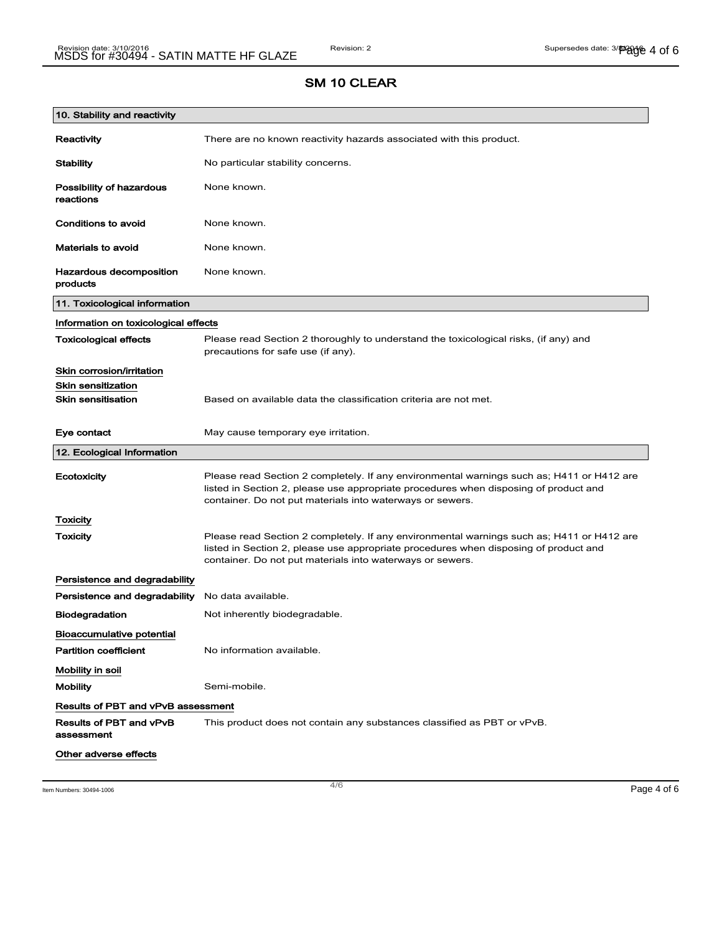| 10. Stability and reactivity               |                                                                                                                                                                                                                                                |
|--------------------------------------------|------------------------------------------------------------------------------------------------------------------------------------------------------------------------------------------------------------------------------------------------|
| Reactivity                                 | There are no known reactivity hazards associated with this product.                                                                                                                                                                            |
| <b>Stability</b>                           | No particular stability concerns.                                                                                                                                                                                                              |
| Possibility of hazardous<br>reactions      | None known.                                                                                                                                                                                                                                    |
| <b>Conditions to avoid</b>                 | None known.                                                                                                                                                                                                                                    |
| <b>Materials to avoid</b>                  | None known.                                                                                                                                                                                                                                    |
| <b>Hazardous decomposition</b><br>products | None known.                                                                                                                                                                                                                                    |
| 11. Toxicological information              |                                                                                                                                                                                                                                                |
| Information on toxicological effects       |                                                                                                                                                                                                                                                |
| <b>Toxicological effects</b>               | Please read Section 2 thoroughly to understand the toxicological risks, (if any) and<br>precautions for safe use (if any).                                                                                                                     |
| Skin corrosion/irritation                  |                                                                                                                                                                                                                                                |
| <b>Skin sensitization</b>                  |                                                                                                                                                                                                                                                |
| <b>Skin sensitisation</b>                  | Based on available data the classification criteria are not met.                                                                                                                                                                               |
| Eye contact                                | May cause temporary eye irritation.                                                                                                                                                                                                            |
| 12. Ecological Information                 |                                                                                                                                                                                                                                                |
| Ecotoxicity                                | Please read Section 2 completely. If any environmental warnings such as; H411 or H412 are<br>listed in Section 2, please use appropriate procedures when disposing of product and<br>container. Do not put materials into waterways or sewers. |
| <b>Toxicity</b>                            |                                                                                                                                                                                                                                                |
| Toxicity                                   | Please read Section 2 completely. If any environmental warnings such as; H411 or H412 are<br>listed in Section 2, please use appropriate procedures when disposing of product and<br>container. Do not put materials into waterways or sewers. |
| Persistence and degradability              |                                                                                                                                                                                                                                                |
| Persistence and degradability              | No data available.                                                                                                                                                                                                                             |
| <b>Biodegradation</b>                      | Not inherently biodegradable.                                                                                                                                                                                                                  |
| <b>Bioaccumulative potential</b>           |                                                                                                                                                                                                                                                |
| <b>Partition coefficient</b>               | No information available.                                                                                                                                                                                                                      |
| Mobility in soil                           |                                                                                                                                                                                                                                                |
| <b>Mobility</b>                            | Semi-mobile.                                                                                                                                                                                                                                   |
| <b>Results of PBT and vPvB assessment</b>  |                                                                                                                                                                                                                                                |
| Results of PBT and vPvB<br>assessment      | This product does not contain any substances classified as PBT or vPvB.                                                                                                                                                                        |
| Other adverse effects                      |                                                                                                                                                                                                                                                |

Item Numbers: 30494-1006  $\blacksquare$  Page 4 of 6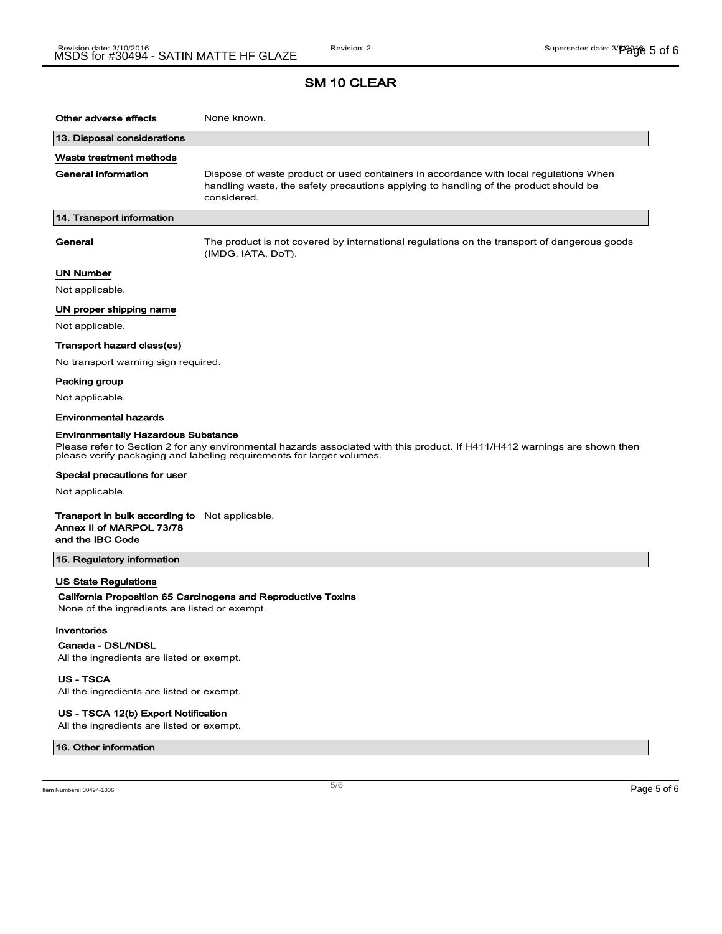| Other adverse effects                                                                                                                                                                               | None known.                                                                                                                                                                                  |  |
|-----------------------------------------------------------------------------------------------------------------------------------------------------------------------------------------------------|----------------------------------------------------------------------------------------------------------------------------------------------------------------------------------------------|--|
| 13. Disposal considerations                                                                                                                                                                         |                                                                                                                                                                                              |  |
| Waste treatment methods                                                                                                                                                                             |                                                                                                                                                                                              |  |
| General information                                                                                                                                                                                 | Dispose of waste product or used containers in accordance with local regulations When<br>handling waste, the safety precautions applying to handling of the product should be<br>considered. |  |
| 14. Transport information                                                                                                                                                                           |                                                                                                                                                                                              |  |
| General                                                                                                                                                                                             | The product is not covered by international regulations on the transport of dangerous goods<br>(IMDG, IATA, DoT).                                                                            |  |
| UN Number                                                                                                                                                                                           |                                                                                                                                                                                              |  |
| Not applicable.                                                                                                                                                                                     |                                                                                                                                                                                              |  |
| UN proper shipping name                                                                                                                                                                             |                                                                                                                                                                                              |  |
| Not applicable.                                                                                                                                                                                     |                                                                                                                                                                                              |  |
| Transport hazard class(es)                                                                                                                                                                          |                                                                                                                                                                                              |  |
| No transport warning sign required.                                                                                                                                                                 |                                                                                                                                                                                              |  |
| Packing group                                                                                                                                                                                       |                                                                                                                                                                                              |  |
| Not applicable.                                                                                                                                                                                     |                                                                                                                                                                                              |  |
| <b>Environmental hazards</b>                                                                                                                                                                        |                                                                                                                                                                                              |  |
| <b>Environmentally Hazardous Substance</b>                                                                                                                                                          |                                                                                                                                                                                              |  |
| Please refer to Section 2 for any environmental hazards associated with this product. If H411/H412 warnings are shown then<br>please verify packaging and labeling requirements for larger volumes. |                                                                                                                                                                                              |  |
| Special precautions for user                                                                                                                                                                        |                                                                                                                                                                                              |  |
| Not applicable.                                                                                                                                                                                     |                                                                                                                                                                                              |  |
| <b>Transport in bulk according to</b> Not applicable.<br>Annex II of MARPOL 73/78<br>and the IBC Code                                                                                               |                                                                                                                                                                                              |  |
| 15. Regulatory information                                                                                                                                                                          |                                                                                                                                                                                              |  |
| US State Regulations<br>None of the ingredients are listed or exempt.<br>Inventories                                                                                                                | California Proposition 65 Carcinogens and Reproductive Toxins                                                                                                                                |  |

 $\overline{\phantom{a}}$ 

Canada - DSL/NDSL All the ingredients are listed or exempt.

US - TSCA

All the ingredients are listed or exempt.

#### US - TSCA 12(b) Export Notification

All the ingredients are listed or exempt.

#### 16. Other information